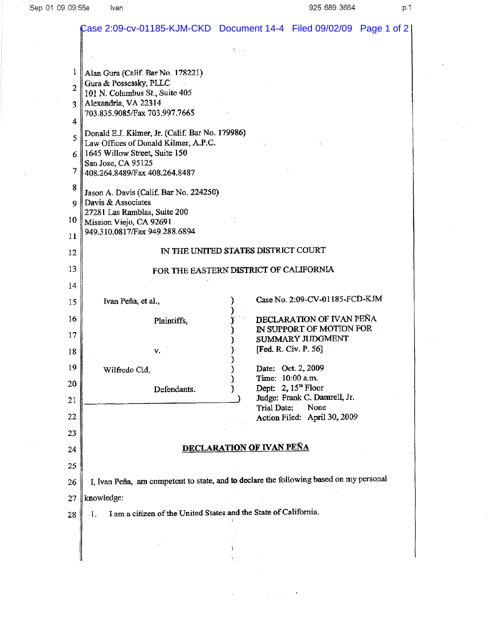$\bar{\beta}$ 

 $\bar{z}$ 

|                | Case 2:09-cv-01185-KJM-CKD Document 14-4    Filed 09/02/09    Page 1 of 2               |        |                                                      |  |  |
|----------------|-----------------------------------------------------------------------------------------|--------|------------------------------------------------------|--|--|
|                | 懲占款                                                                                     |        |                                                      |  |  |
| 1              | Alan Gura (Calif. Bar No. 178221)                                                       |        |                                                      |  |  |
| $\overline{2}$ | Gura & Possessky, PLLC<br>101 N. Columbus St., Suite 405                                |        |                                                      |  |  |
| 3.             | Alexandria, VA 22314                                                                    |        |                                                      |  |  |
| 4              | 703.835.9085/Fax 703.997.7665                                                           |        |                                                      |  |  |
| 5              | Donald E.J. Kilmer, Jr. (Calif. Bar No. 179986)<br>Law Offices of Donald Kilmer, A.P.C. |        |                                                      |  |  |
| 6.             | 1645 Willow Street, Suite 150<br>San Jose, CA 95125                                     |        |                                                      |  |  |
| 7              | 408.264.8489/Fax 408.264.8487                                                           |        |                                                      |  |  |
| 8<br>Q         | Jason A. Davis (Calif. Bar No. 224250)<br>Davis & Associates                            |        |                                                      |  |  |
| 10             | 27281 Las Ramblas, Suite 200                                                            | e vrej |                                                      |  |  |
| 11             | Mission Viejo, CA 92691<br>949.310.0817/Fax 949.288.6894                                |        |                                                      |  |  |
| 12             | IN THE UNITED STATES DISTRICT COURT                                                     |        |                                                      |  |  |
| 13             | FOR THE EASTERN DISTRICT OF CALIFORNIA                                                  |        |                                                      |  |  |
| 14             |                                                                                         |        |                                                      |  |  |
| 15             | Ivan Peña, et al.,                                                                      |        | Case No. 2:09-CV-01185-FCD-KJM                       |  |  |
| 16             | Plaintiffs,                                                                             |        | DECLARATION OF IVAN PEÑA<br>IN SUPPORT OF MOTION FOR |  |  |
| 17             |                                                                                         |        | SUMMARY JUDGMENT                                     |  |  |
| 18             | γ.                                                                                      |        | [Fed. R. Civ. P. 56]                                 |  |  |
| 19             | Wilfredo Cid,                                                                           |        | Date: Oct. 2, 2009                                   |  |  |
| 20             | Defendants.                                                                             |        | Time: 10:00 a.m.<br>Dept: $2,15^{\text{th}}$ Floor   |  |  |
| 21             |                                                                                         |        | Judge: Frank C. Damrell, Jr.                         |  |  |
| 22             |                                                                                         |        | Trial Date:<br>None<br>Action Filed: April 30, 2009  |  |  |
|                |                                                                                         |        |                                                      |  |  |
| 23             |                                                                                         |        |                                                      |  |  |
| 24             | <b>DECLARATION OF IVAN PEÑA</b>                                                         |        |                                                      |  |  |
| 25             |                                                                                         |        |                                                      |  |  |
| 26             | I, Ivan Peña, am competent to state, and to declare the following based on my personal  |        |                                                      |  |  |
| 27             | knowledge:                                                                              |        |                                                      |  |  |
| 28             | I am a citizen of the United States and the State of California.<br>1.                  |        |                                                      |  |  |
|                |                                                                                         |        |                                                      |  |  |
|                |                                                                                         |        |                                                      |  |  |
|                |                                                                                         |        |                                                      |  |  |